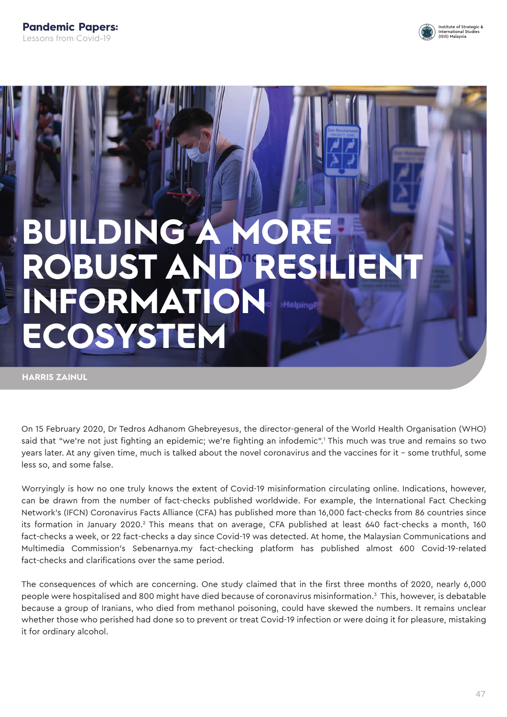

# **BUILDING A MORE ROBUST AND RESILIENT INFORMATION ECOSYSTEM**

**HARRIS ZAINUL**

On 15 February 2020, Dr Tedros Adhanom Ghebreyesus, the director-general of the World Health Organisation (WHO) said that "we're not just fighting an epidemic; we're fighting an infodemic".<sup>1</sup> This much was true and remains so two years later. At any given time, much is talked about the novel coronavirus and the vaccines for it – some truthful, some less so, and some false.

Worryingly is how no one truly knows the extent of Covid-19 misinformation circulating online. Indications, however, can be drawn from the number of fact-checks published worldwide. For example, the International Fact Checking Network's (IFCN) Coronavirus Facts Alliance (CFA) has published more than 16,000 fact-checks from 86 countries since its formation in January 2020.<sup>2</sup> This means that on average, CFA published at least 640 fact-checks a month, 160 fact-checks a week, or 22 fact-checks a day since Covid-19 was detected. At home, the Malaysian Communications and Multimedia Commission's Sebenarnya.my fact-checking platform has published almost 600 Covid-19-related fact-checks and clarifications over the same period.

The consequences of which are concerning. One study claimed that in the first three months of 2020, nearly 6,000 people were hospitalised and 800 might have died because of coronavirus misinformation.<sup>3</sup> This, however, is debatable because a group of Iranians, who died from methanol poisoning, could have skewed the numbers. It remains unclear whether those who perished had done so to prevent or treat Covid-19 infection or were doing it for pleasure, mistaking it for ordinary alcohol.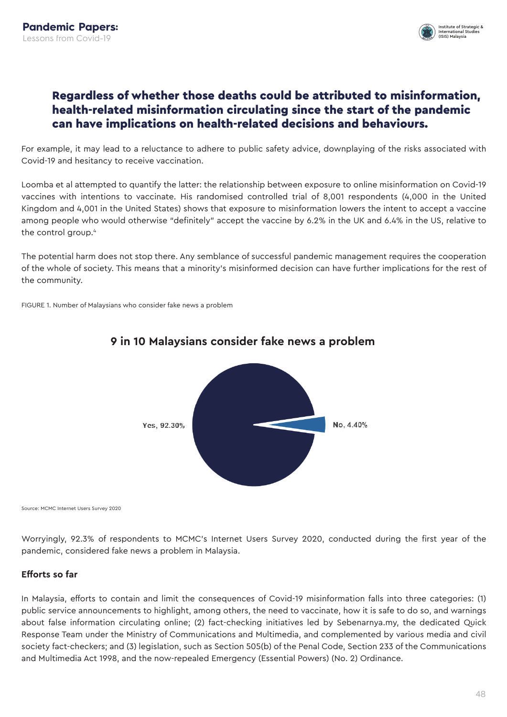

## Regardless of whether those deaths could be attributed to misinformation, health-related misinformation circulating since the start of the pandemic can have implications on health-related decisions and behaviours.

For example, it may lead to a reluctance to adhere to public safety advice, downplaying of the risks associated with Covid-19 and hesitancy to receive vaccination.

Loomba et al attempted to quantify the latter: the relationship between exposure to online misinformation on Covid-19 vaccines with intentions to vaccinate. His randomised controlled trial of 8,001 respondents (4,000 in the United Kingdom and 4,001 in the United States) shows that exposure to misinformation lowers the intent to accept a vaccine among people who would otherwise "definitely" accept the vaccine by 6.2% in the UK and 6.4% in the US, relative to the control group.4

The potential harm does not stop there. Any semblance of successful pandemic management requires the cooperation of the whole of society. This means that a minority's misinformed decision can have further implications for the rest of the community.

FIGURE 1. Number of Malaysians who consider fake news a problem



### **9 in 10 Malaysians consider fake news a problem**

Source: MCMC Internet Users Survey 2020

Worryingly, 92.3% of respondents to MCMC's Internet Users Survey 2020, conducted during the first year of the pandemic, considered fake news a problem in Malaysia.

#### **Efforts so far**

In Malaysia, efforts to contain and limit the consequences of Covid-19 misinformation falls into three categories: (1) public service announcements to highlight, among others, the need to vaccinate, how it is safe to do so, and warnings about false information circulating online; (2) fact-checking initiatives led by Sebenarnya.my, the dedicated Quick Response Team under the Ministry of Communications and Multimedia, and complemented by various media and civil society fact-checkers; and (3) legislation, such as Section 505(b) of the Penal Code, Section 233 of the Communications and Multimedia Act 1998, and the now-repealed Emergency (Essential Powers) (No. 2) Ordinance.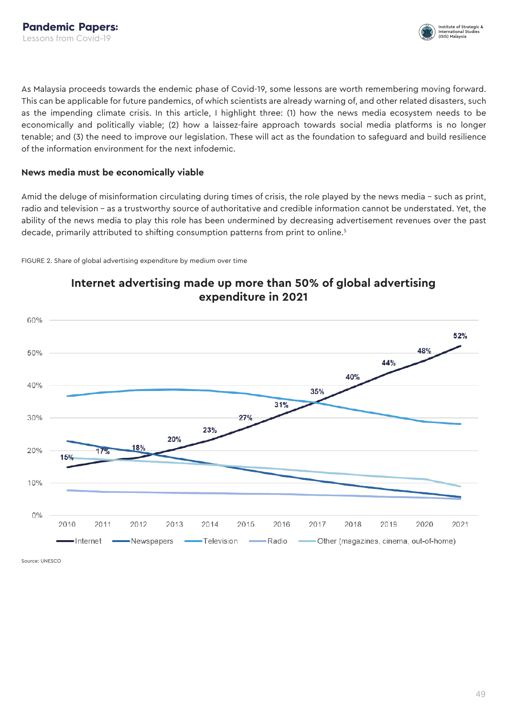

As Malaysia proceeds towards the endemic phase of Covid-19, some lessons are worth remembering moving forward. This can be applicable for future pandemics, of which scientists are already warning of, and other related disasters, such as the impending climate crisis. In this article, I highlight three: (1) how the news media ecosystem needs to be economically and politically viable; (2) how a laissez-faire approach towards social media platforms is no longer tenable; and (3) the need to improve our legislation. These will act as the foundation to safeguard and build resilience of the information environment for the next infodemic.

#### **News media must be economically viable**

Amid the deluge of misinformation circulating during times of crisis, the role played by the news media – such as print, radio and television – as a trustworthy source of authoritative and credible information cannot be understated. Yet, the ability of the news media to play this role has been undermined by decreasing advertisement revenues over the past decade, primarily attributed to shifting consumption patterns from print to online.<sup>5</sup>

FIGURE 2. Share of global advertising expenditure by medium over time



## **Internet advertising made up more than 50% of global advertising expenditure in 2021**

Source: UNESCO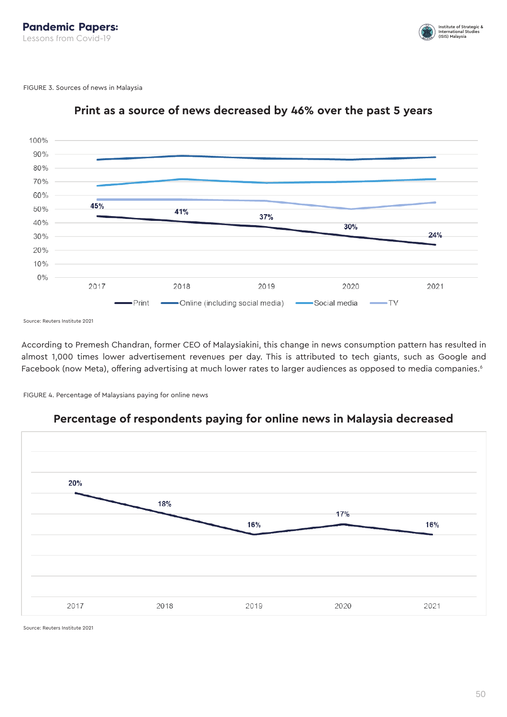

FIGURE 3. Sources of news in Malaysia



## **Print as a source of news decreased by 46% over the past 5 years**

Source: Reuters Institute 2021

According to Premesh Chandran, former CEO of Malaysiakini, this change in news consumption pattern has resulted in almost 1,000 times lower advertisement revenues per day. This is attributed to tech giants, such as Google and Facebook (now Meta), offering advertising at much lower rates to larger audiences as opposed to media companies.<sup>6</sup>

FIGURE 4. Percentage of Malaysians paying for online news



## **Percentage of respondents paying for online news in Malaysia decreased**

Source: Reuters Institute 2021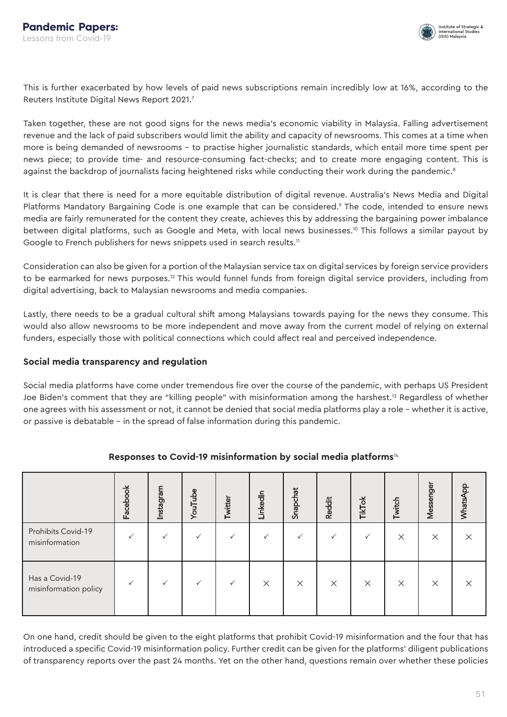

This is further exacerbated by how levels of paid news subscriptions remain incredibly low at 16%, according to the Reuters Institute Digital News Report 2021.<sup>7</sup>

Taken together, these are not good signs for the news media's economic viability in Malaysia. Falling advertisement revenue and the lack of paid subscribers would limit the ability and capacity of newsrooms. This comes at a time when more is being demanded of newsrooms – to practise higher journalistic standards, which entail more time spent per news piece; to provide time- and resource-consuming fact-checks; and to create more engaging content. This is against the backdrop of journalists facing heightened risks while conducting their work during the pandemic.<sup>8</sup>

It is clear that there is need for a more equitable distribution of digital revenue. Australia's News Media and Digital Platforms Mandatory Bargaining Code is one example that can be considered.<sup>9</sup> The code, intended to ensure news media are fairly remunerated for the content they create, achieves this by addressing the bargaining power imbalance between digital platforms, such as Google and Meta, with local news businesses.<sup>10</sup> This follows a similar payout by Google to French publishers for news snippets used in search results.<sup>11</sup>

Consideration can also be given for a portion of the Malaysian service tax on digital services by foreign service providers to be earmarked for news purposes.<sup>12</sup> This would funnel funds from foreign digital service providers, including from digital advertising, back to Malaysian newsrooms and media companies.

Lastly, there needs to be a gradual cultural shift among Malaysians towards paying for the news they consume. This would also allow newsrooms to be more independent and move away from the current model of relying on external funders, especially those with political connections which could affect real and perceived independence.

#### **Social media transparency and regulation**

Social media platforms have come under tremendous fire over the course of the pandemic, with perhaps US President Joe Biden's comment that they are "killing people" with misinformation among the harshest.<sup>13</sup> Regardless of whether one agrees with his assessment or not, it cannot be denied that social media platforms play a role – whether it is active, or passive is debatable – in the spread of false information during this pandemic.

|                                         | Facebook | Instagram | YouTube | Twitter | LinkedIn | Snapchat | <b>Reddit</b> | TikTok   | Twitch   | Messenger | WhatsApp |
|-----------------------------------------|----------|-----------|---------|---------|----------|----------|---------------|----------|----------|-----------|----------|
| Prohibits Covid-19<br>misinformation    |          |           |         |         |          |          |               |          | $\times$ | $\times$  | X        |
| Has a Covid-19<br>misinformation policy |          |           | ✓       |         | $\times$ | $\times$ | $\times$      | $\times$ | $\times$ | $\times$  | X        |

#### **Responses to Covid-19 misinformation by social media platforms**<sup>14</sup>

On one hand, credit should be given to the eight platforms that prohibit Covid-19 misinformation and the four that has introduced a specific Covid-19 misinformation policy. Further credit can be given for the platforms' diligent publications of transparency reports over the past 24 months. Yet on the other hand, questions remain over whether these policies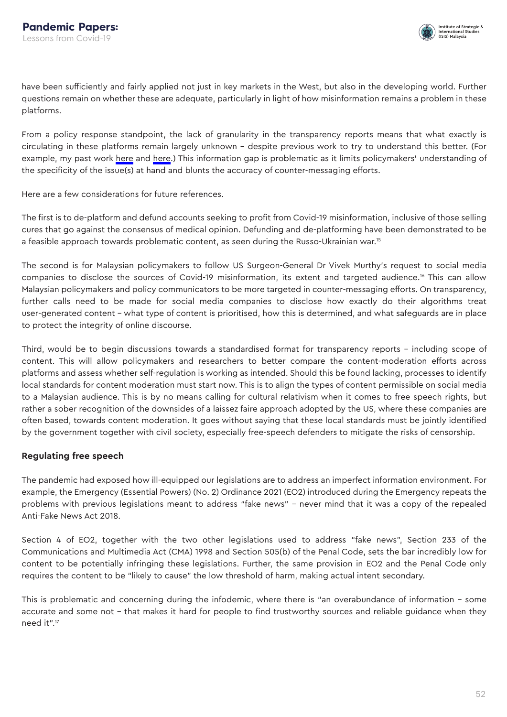

have been sufficiently and fairly applied not just in key markets in the West, but also in the developing world. Further questions remain on whether these are adequate, particularly in light of how misinformation remains a problem in these platforms.

From a policy response standpoint, the lack of granularity in the transparency reports means that what exactly is circulating in these platforms remain largely unknown – despite previous work to try to understand this better. (For example, my past work [here](https://www.isis.org.my/2021/09/24/vaccine-narratives-on-social-media-in-malaysia/) and [here](https://www.isis.org.my/2020/08/24/the-covid-19-infodemic-in-malaysia-scale-scope-and-policy-responses/).) This information gap is problematic as it limits policymakers' understanding of the specificity of the issue(s) at hand and blunts the accuracy of counter-messaging efforts.

Here are a few considerations for future references.

The first is to de-platform and defund accounts seeking to profit from Covid-19 misinformation, inclusive of those selling cures that go against the consensus of medical opinion. Defunding and de-platforming have been demonstrated to be a feasible approach towards problematic content, as seen during the Russo-Ukrainian war.15

The second is for Malaysian policymakers to follow US Surgeon-General Dr Vivek Murthy's request to social media companies to disclose the sources of Covid-19 misinformation, its extent and targeted audience.<sup>16</sup> This can allow Malaysian policymakers and policy communicators to be more targeted in counter-messaging efforts. On transparency, further calls need to be made for social media companies to disclose how exactly do their algorithms treat user-generated content – what type of content is prioritised, how this is determined, and what safeguards are in place to protect the integrity of online discourse.

Third, would be to begin discussions towards a standardised format for transparency reports – including scope of content. This will allow policymakers and researchers to better compare the content-moderation efforts across platforms and assess whether self-regulation is working as intended. Should this be found lacking, processes to identify local standards for content moderation must start now. This is to align the types of content permissible on social media to a Malaysian audience. This is by no means calling for cultural relativism when it comes to free speech rights, but rather a sober recognition of the downsides of a laissez faire approach adopted by the US, where these companies are often based, towards content moderation. It goes without saying that these local standards must be jointly identified by the government together with civil society, especially free-speech defenders to mitigate the risks of censorship.

#### **Regulating free speech**

The pandemic had exposed how ill-equipped our legislations are to address an imperfect information environment. For example, the Emergency (Essential Powers) (No. 2) Ordinance 2021 (EO2) introduced during the Emergency repeats the problems with previous legislations meant to address "fake news" – never mind that it was a copy of the repealed Anti-Fake News Act 2018.

Section 4 of EO2, together with the two other legislations used to address "fake news", Section 233 of the Communications and Multimedia Act (CMA) 1998 and Section 505(b) of the Penal Code, sets the bar incredibly low for content to be potentially infringing these legislations. Further, the same provision in EO2 and the Penal Code only requires the content to be "likely to cause" the low threshold of harm, making actual intent secondary.

This is problematic and concerning during the infodemic, where there is "an overabundance of information – some accurate and some not – that makes it hard for people to find trustworthy sources and reliable guidance when they need it".17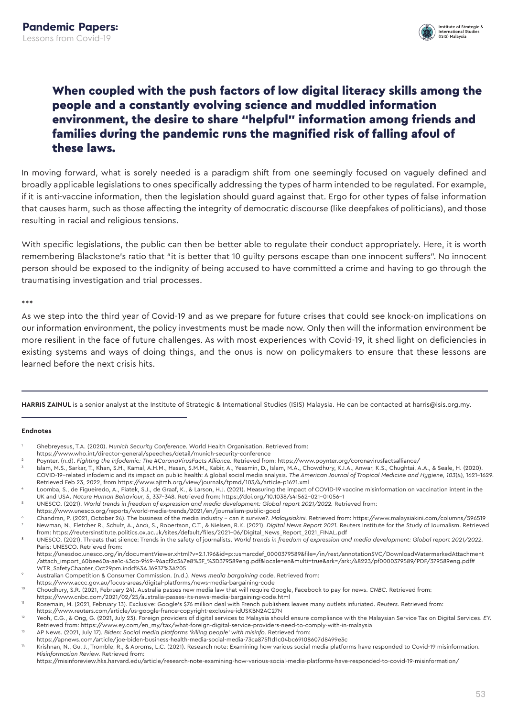

## When coupled with the push factors of low digital literacy skills among the people and a constantly evolving science and muddled information environment, the desire to share "helpful" information among friends and families during the pandemic runs the magnified risk of falling afoul of these laws.

In moving forward, what is sorely needed is a paradigm shift from one seemingly focused on vaguely defined and broadly applicable legislations to ones specifically addressing the types of harm intended to be regulated. For example, if it is anti-vaccine information, then the legislation should guard against that. Ergo for other types of false information that causes harm, such as those affecting the integrity of democratic discourse (like deepfakes of politicians), and those resulting in racial and religious tensions.

With specific legislations, the public can then be better able to regulate their conduct appropriately. Here, it is worth remembering Blackstone's ratio that "it is better that 10 guilty persons escape than one innocent suffers". No innocent person should be exposed to the indignity of being accused to have committed a crime and having to go through the traumatising investigation and trial processes.

\*\*\*

As we step into the third year of Covid-19 and as we prepare for future crises that could see knock-on implications on our information environment, the policy investments must be made now. Only then will the information environment be more resilient in the face of future challenges. As with most experiences with Covid-19, it shed light on deficiencies in existing systems and ways of doing things, and the onus is now on policymakers to ensure that these lessons are learned before the next crisis hits.

HARRIS ZAINUL is a senior analyst at the Institute of Strategic & International Studies (ISIS) Malaysia. He can be contacted at harris@isis.org.my.

#### **Endnotes**

- 1 Ghebreyesus, T.A. (2020). *Munich Security Conference.* World Health Organisation. Retrieved from:
- https://www.who.int/director-general/speeches/detail/munich-security-conference
- 2 Poynter. (n.d). *Fighting the infodemic: The #CoronaVirusFacts Alliance.* Retrieved from: https://www.poynter.org/coronavirusfactsalliance/

- 5 UNESCO. (2021). *World trends in freedom of expression and media development: Global report 2021/2022.* Retrieved from:
- https://www.unesco.org/reports/world-media-trends/2021/en/journalism-public-good

6 Chandran, P. (2021, October 24). The business of the media industry – can it survive?. *Malaysiakini.* Retrieved from: https://www.malaysiakini.com/columns/596519 7 Newman, N., Fletcher R., Schulz, A., Andı, S., Robertson, C.T., & Nielsen, R.K. (2021). *Digital News Report 2021.* Reuters Institute for the Study of Journalism. Retrieved from: https://reutersinstitute.politics.ox.ac.uk/sites/default/files/2021–06/Digital\_News\_Report\_2021\_FINAL.pdf

8 UNESCO. (2021). Threats that silence: Trends in the safety of journalists. *World trends in freedom of expression and media development: Global report 2021/2022.*  Paris: UNESCO. Retrieved from:

 https://unesdoc.unesco.org/in/documentViewer.xhtml?v=2.1.196&id=p::usmarcdef\_0000379589&file=/in/rest/annotationSVC/DownloadWatermarkedAttachment /attach\_import\_60bee60a-ae1c-43cb-9f69–94acf2c347e8%3F\_%3D379589eng.pdf&locale=en&multi=true&ark=/ark:/48223/pf0000379589/PDF/379589eng.pdf# WTR\_SafetyChapter\_Oct29pm.indd%3A.16937%3A205

- 9 Australian Competition & Consumer Commission. (n.d.). *News media bargaining code.* Retrieved from:
- https://www.accc.gov.au/focus-areas/digital-platforms/news-media-bargaining-code
- <sup>10</sup> Choudhury, S.R. (2021, February 24). Australia passes new media law that will require Google, Facebook to pay for news. *CNBC.* Retrieved from:
- https://www.cnbc.com/2021/02/25/australia-passes-its-news-media-bargaining-code.html
- <sup>11</sup> Rosemain, M. (2021, February 13). Exclusive: Google's \$76 million deal with French publishers leaves many outlets infuriated. *Reuters.* Retrieved from:

- <sup>13</sup> AP News. (2021, July 17). *Biden: Social media platforms 'killing people' with misinfo.* Retrieved from:
- https://apnews.com/article/joe-biden-business-health-media-social-media-73ca875f1d1c04bc69108607d8499e3c

https://misinforeview.hks.harvard.edu/article/research-note-examining-how-various-social-media-platforms-have-responded-to-covid-19-misinformation/

<sup>3</sup> Islam, M.S., Sarkar, T., Khan, S.H., Kamal, A.H.M., Hasan, S.M.M., Kabir, A., Yeasmin, D., Islam, M.A., Chowdhury, K.I.A., Anwar, K.S., Chughtai, A.A., & Seale, H. (2020). COVID-19–related infodemic and its impact on public health: A global social media analysis. *The American Journal of Tropical Medicine and Hygiene, 103*(4)*,* 1621–1629. Retrieved Feb 23, 2022, from https://www.ajtmh.org/view/journals/tpmd/103/4/article-p1621.xml

<sup>4</sup> Loomba, S., de Figueiredo, A., Piatek, S.J., de Graaf, K., & Larson, H.J. (2021). Measuring the impact of COVID-19 vaccine misinformation on vaccination intent in the UK and USA. *Nature Human Behaviour, 5*, 337–348*.* Retrieved from: https://doi.org/10.1038/s41562–021–01056–1

https://www.reuters.com/article/us-google-france-copyright-exclusive-idUSKBN2AC27N<br>Reader of Alexander of digital continues to Malaysia should <sup>12</sup> Yeoh, C.G., & Ong, G. (2021, July 23). Foreign providers of digital services to Malaysia should ensure compliance with the Malaysian Service Tax on Digital Services. *EY.*  Retrieved from: https://www.ey.com/en\_my/tax/what-foreign-digital-service-providers-need-to-comply-with-in-malaysia

<sup>14</sup> Krishnan, N., Gu, J., Tromble, R., & Abroms, L.C. (2021). Research note: Examining how various social media platforms have responded to Covid-19 misinformation. *Misinformation Review.* Retrieved from: